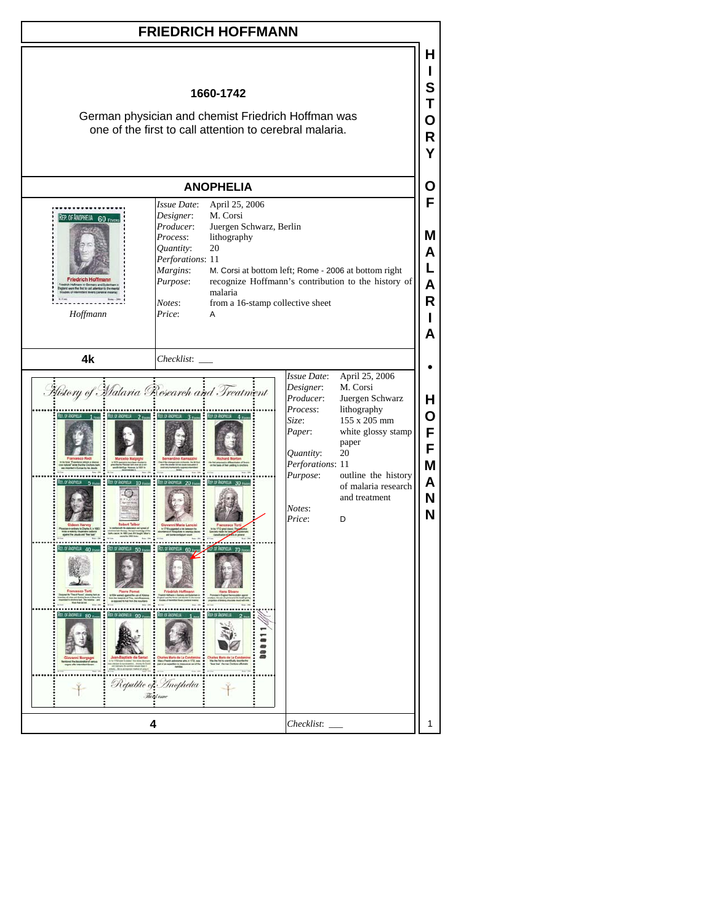